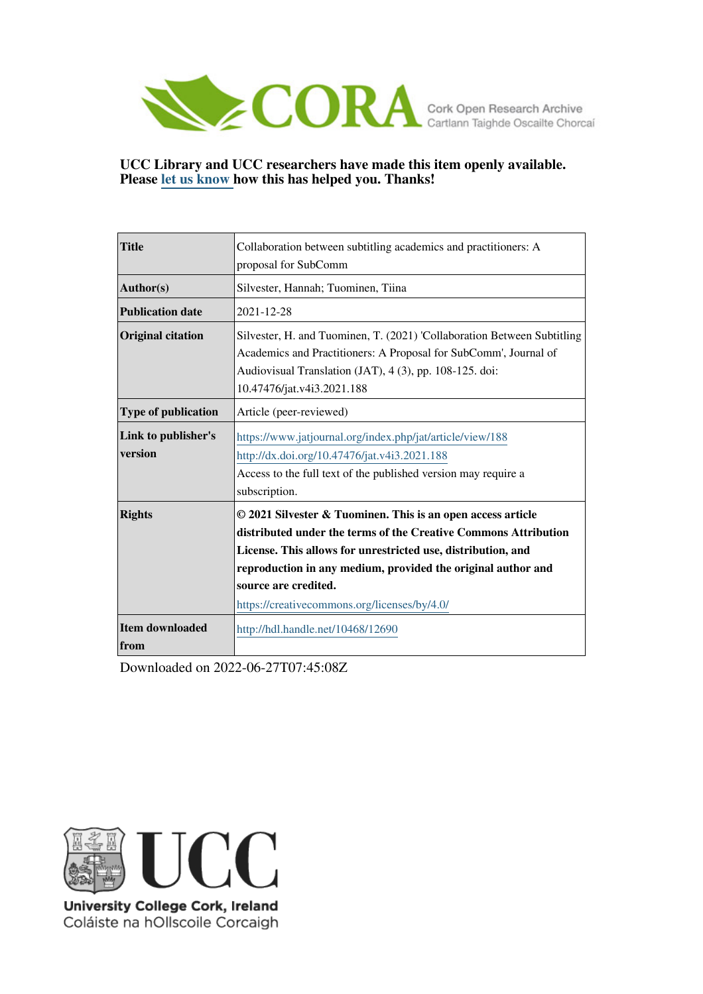

#### **UCC Library and UCC researchers have made this item openly available. Please [let us know h](https://libguides.ucc.ie/openaccess/impact?suffix=12690&title=Collaboration between subtitling academics and practitioners: A proposal for SubComm)ow this has helped you. Thanks!**

| <b>Title</b>                   | Collaboration between subtitling academics and practitioners: A                                                                                                                                                                                                                                                                        |  |  |
|--------------------------------|----------------------------------------------------------------------------------------------------------------------------------------------------------------------------------------------------------------------------------------------------------------------------------------------------------------------------------------|--|--|
|                                | proposal for SubComm                                                                                                                                                                                                                                                                                                                   |  |  |
| $\vert$ Author(s)              | Silvester, Hannah; Tuominen, Tiina                                                                                                                                                                                                                                                                                                     |  |  |
| <b>Publication date</b>        | 2021-12-28                                                                                                                                                                                                                                                                                                                             |  |  |
| <b>Original citation</b>       | Silvester, H. and Tuominen, T. (2021) 'Collaboration Between Subtitling<br>Academics and Practitioners: A Proposal for SubComm', Journal of<br>Audiovisual Translation (JAT), 4 (3), pp. 108-125. doi:<br>10.47476/jat.v4i3.2021.188                                                                                                   |  |  |
| <b>Type of publication</b>     | Article (peer-reviewed)                                                                                                                                                                                                                                                                                                                |  |  |
| Link to publisher's<br>version | https://www.jatjournal.org/index.php/jat/article/view/188<br>http://dx.doi.org/10.47476/jat.v4i3.2021.188<br>Access to the full text of the published version may require a<br>subscription.                                                                                                                                           |  |  |
| <b>Rights</b>                  | © 2021 Silvester & Tuominen. This is an open access article<br>distributed under the terms of the Creative Commons Attribution<br>License. This allows for unrestricted use, distribution, and<br>reproduction in any medium, provided the original author and<br>source are credited.<br>https://creativecommons.org/licenses/by/4.0/ |  |  |
| Item downloaded<br><b>from</b> | http://hdl.handle.net/10468/12690                                                                                                                                                                                                                                                                                                      |  |  |

Downloaded on 2022-06-27T07:45:08Z



University College Cork, Ireland Coláiste na hOllscoile Corcaigh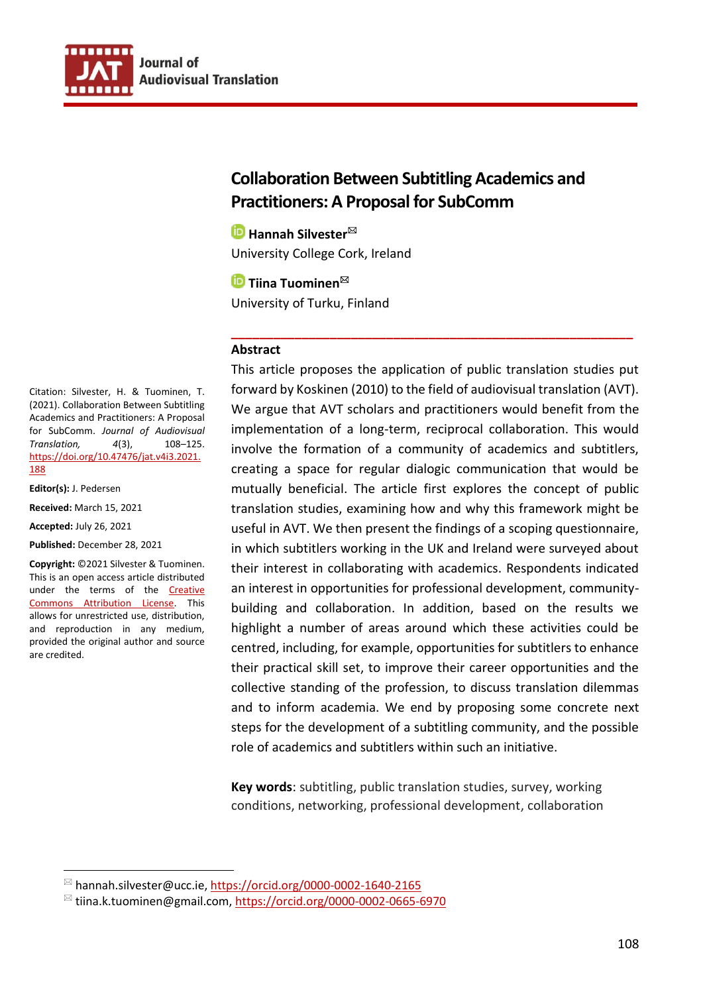

# **Collaboration Between Subtitling Academics and Practitioners: A Proposal for SubComm**

**Hannah Silvester<sup>⊠</sup>** University College Cork, Ireland

**<u><sup>■</sup>Tiina Tuominen<sup>⊠</sup>**</u> University of Turku, Finland

#### **Abstract**

This article proposes the application of public translation studies put forward by Koskinen (2010) to the field of audiovisual translation (AVT). We argue that AVT scholars and practitioners would benefit from the implementation of a long-term, reciprocal collaboration. This would involve the formation of a community of academics and subtitlers, creating a space for regular dialogic communication that would be mutually beneficial. The article first explores the concept of public translation studies, examining how and why this framework might be useful in AVT. We then present the findings of a scoping questionnaire, in which subtitlers working in the UK and Ireland were surveyed about their interest in collaborating with academics. Respondents indicated an interest in opportunities for professional development, communitybuilding and collaboration. In addition, based on the results we highlight a number of areas around which these activities could be centred, including, for example, opportunities for subtitlers to enhance their practical skill set, to improve their career opportunities and the collective standing of the profession, to discuss translation dilemmas and to inform academia. We end by proposing some concrete next steps for the development of a subtitling community, and the possible role of academics and subtitlers within such an initiative.

**\_\_\_\_\_\_\_\_\_\_\_\_\_\_\_\_\_\_\_\_\_\_\_\_\_\_\_\_\_\_\_\_\_\_\_\_\_\_\_\_\_\_\_\_\_\_\_\_\_\_\_\_\_\_\_\_\_**

**Key words**: subtitling, public translation studies, survey, working conditions, networking, professional development, collaboration

Citation: Silvester, H. & Tuominen, T. (2021). Collaboration Between Subtitling Academics and Practitioners: A Proposal for SubComm. *Journal of Audiovisual Translation, 4*(3), 108–125. [https://doi.org/10.47476/jat.v4i3.2021.](https://doi.org/%2010.47476/jat.v4i3.2021.188) [188](https://doi.org/%2010.47476/jat.v4i3.2021.188)

**Editor(s):** J. Pedersen

**Received:** March 15, 2021

**Accepted:** July 26, 2021

**Published:** December 28, 2021

**Copyright:** ©2021 Silvester & Tuominen. This is an open access article distributed under the terms of the [Creative](https://creativecommons.org/licenses/by/4.0/)  [Commons Attribution License.](https://creativecommons.org/licenses/by/4.0/) This allows for unrestricted use, distribution, and reproduction in any medium, provided the original author and source are credited.

 $^{\boxtimes}$  hannah.silvester@ucc.ie, https://orcid.org/0000-0002-1640-2165

<sup>&</sup>lt;sup>⊠</sup> tiina.k.tuominen@gmail.com,<https://orcid.org/0000-0002-0665-6970>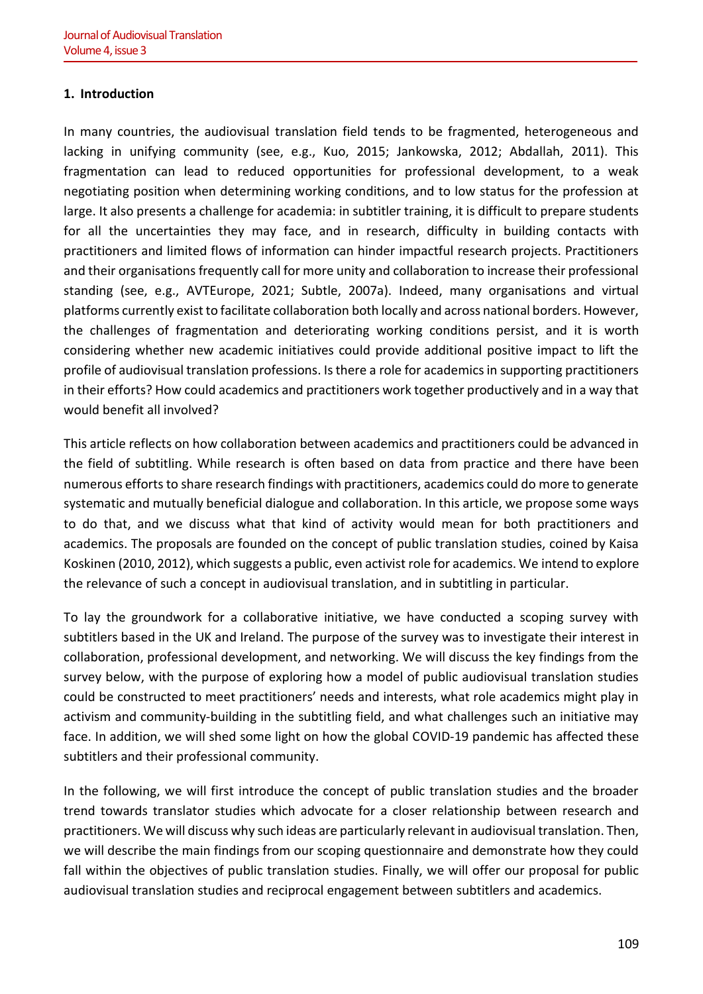# **1. Introduction**

In many countries, the audiovisual translation field tends to be fragmented, heterogeneous and lacking in unifying community (see, e.g., Kuo, 2015; Jankowska, 2012; Abdallah, 2011). This fragmentation can lead to reduced opportunities for professional development, to a weak negotiating position when determining working conditions, and to low status for the profession at large. It also presents a challenge for academia: in subtitler training, it is difficult to prepare students for all the uncertainties they may face, and in research, difficulty in building contacts with practitioners and limited flows of information can hinder impactful research projects. Practitioners and their organisations frequently call for more unity and collaboration to increase their professional standing (see, e.g., AVTEurope, 2021; Subtle, 2007a). Indeed, many organisations and virtual platforms currently exist to facilitate collaboration both locally and across national borders. However, the challenges of fragmentation and deteriorating working conditions persist, and it is worth considering whether new academic initiatives could provide additional positive impact to lift the profile of audiovisual translation professions. Is there a role for academics in supporting practitioners in their efforts? How could academics and practitioners work together productively and in a way that would benefit all involved?

This article reflects on how collaboration between academics and practitioners could be advanced in the field of subtitling. While research is often based on data from practice and there have been numerous efforts to share research findings with practitioners, academics could do more to generate systematic and mutually beneficial dialogue and collaboration. In this article, we propose some ways to do that, and we discuss what that kind of activity would mean for both practitioners and academics. The proposals are founded on the concept of public translation studies, coined by Kaisa Koskinen (2010, 2012), which suggests a public, even activist role for academics. We intend to explore the relevance of such a concept in audiovisual translation, and in subtitling in particular.

To lay the groundwork for a collaborative initiative, we have conducted a scoping survey with subtitlers based in the UK and Ireland. The purpose of the survey was to investigate their interest in collaboration, professional development, and networking. We will discuss the key findings from the survey below, with the purpose of exploring how a model of public audiovisual translation studies could be constructed to meet practitioners' needs and interests, what role academics might play in activism and community-building in the subtitling field, and what challenges such an initiative may face. In addition, we will shed some light on how the global COVID-19 pandemic has affected these subtitlers and their professional community.

In the following, we will first introduce the concept of public translation studies and the broader trend towards translator studies which advocate for a closer relationship between research and practitioners. We will discuss why such ideas are particularly relevant in audiovisual translation. Then, we will describe the main findings from our scoping questionnaire and demonstrate how they could fall within the objectives of public translation studies. Finally, we will offer our proposal for public audiovisual translation studies and reciprocal engagement between subtitlers and academics.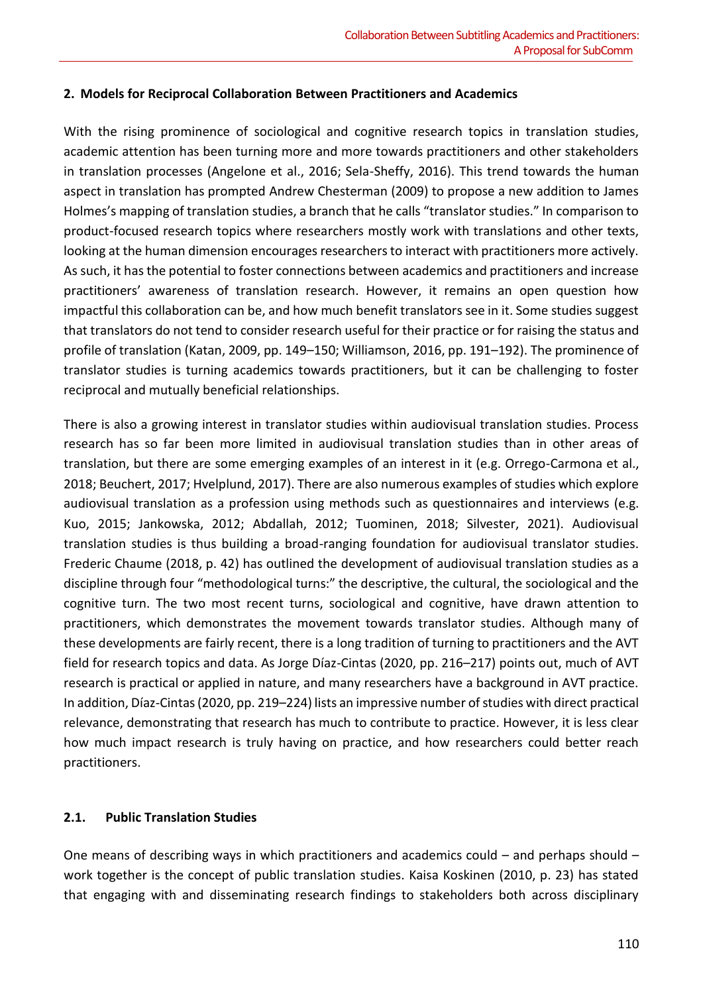#### **2. Models for Reciprocal Collaboration Between Practitioners and Academics**

With the rising prominence of sociological and cognitive research topics in translation studies, academic attention has been turning more and more towards practitioners and other stakeholders in translation processes (Angelone et al., 2016; Sela-Sheffy, 2016). This trend towards the human aspect in translation has prompted Andrew Chesterman (2009) to propose a new addition to James Holmes's mapping of translation studies, a branch that he calls "translator studies." In comparison to product-focused research topics where researchers mostly work with translations and other texts, looking at the human dimension encourages researchers to interact with practitioners more actively. As such, it has the potential to foster connections between academics and practitioners and increase practitioners' awareness of translation research. However, it remains an open question how impactful this collaboration can be, and how much benefit translators see in it. Some studies suggest that translators do not tend to consider research useful for their practice or for raising the status and profile of translation (Katan, 2009, pp. 149–150; Williamson, 2016, pp. 191–192). The prominence of translator studies is turning academics towards practitioners, but it can be challenging to foster reciprocal and mutually beneficial relationships.

There is also a growing interest in translator studies within audiovisual translation studies. Process research has so far been more limited in audiovisual translation studies than in other areas of translation, but there are some emerging examples of an interest in it (e.g. Orrego-Carmona et al., 2018; Beuchert, 2017; Hvelplund, 2017). There are also numerous examples of studies which explore audiovisual translation as a profession using methods such as questionnaires and interviews (e.g. Kuo, 2015; Jankowska, 2012; Abdallah, 2012; Tuominen, 2018; Silvester, 2021). Audiovisual translation studies is thus building a broad-ranging foundation for audiovisual translator studies. Frederic Chaume (2018, p. 42) has outlined the development of audiovisual translation studies as a discipline through four "methodological turns:" the descriptive, the cultural, the sociological and the cognitive turn. The two most recent turns, sociological and cognitive, have drawn attention to practitioners, which demonstrates the movement towards translator studies. Although many of these developments are fairly recent, there is a long tradition of turning to practitioners and the AVT field for research topics and data. As Jorge Díaz-Cintas (2020, pp. 216–217) points out, much of AVT research is practical or applied in nature, and many researchers have a background in AVT practice. In addition, Díaz-Cintas (2020, pp. 219–224) lists an impressive number of studies with direct practical relevance, demonstrating that research has much to contribute to practice. However, it is less clear how much impact research is truly having on practice, and how researchers could better reach practitioners.

#### **2.1. Public Translation Studies**

One means of describing ways in which practitioners and academics could – and perhaps should – work together is the concept of public translation studies. Kaisa Koskinen (2010, p. 23) has stated that engaging with and disseminating research findings to stakeholders both across disciplinary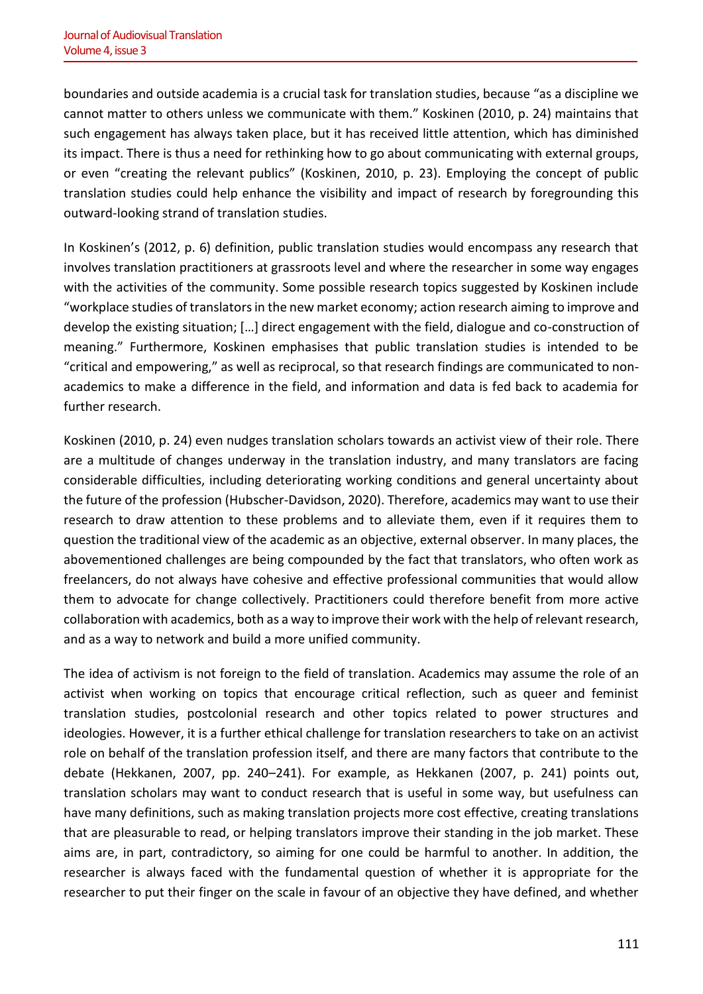boundaries and outside academia is a crucial task for translation studies, because "as a discipline we cannot matter to others unless we communicate with them." Koskinen (2010, p. 24) maintains that such engagement has always taken place, but it has received little attention, which has diminished its impact. There is thus a need for rethinking how to go about communicating with external groups, or even "creating the relevant publics" (Koskinen, 2010, p. 23). Employing the concept of public translation studies could help enhance the visibility and impact of research by foregrounding this outward-looking strand of translation studies.

In Koskinen's (2012, p. 6) definition, public translation studies would encompass any research that involves translation practitioners at grassroots level and where the researcher in some way engages with the activities of the community. Some possible research topics suggested by Koskinen include "workplace studies of translators in the new market economy; action research aiming to improve and develop the existing situation; […] direct engagement with the field, dialogue and co-construction of meaning." Furthermore, Koskinen emphasises that public translation studies is intended to be "critical and empowering," as well as reciprocal, so that research findings are communicated to nonacademics to make a difference in the field, and information and data is fed back to academia for further research.

Koskinen (2010, p. 24) even nudges translation scholars towards an activist view of their role. There are a multitude of changes underway in the translation industry, and many translators are facing considerable difficulties, including deteriorating working conditions and general uncertainty about the future of the profession (Hubscher-Davidson, 2020). Therefore, academics may want to use their research to draw attention to these problems and to alleviate them, even if it requires them to question the traditional view of the academic as an objective, external observer. In many places, the abovementioned challenges are being compounded by the fact that translators, who often work as freelancers, do not always have cohesive and effective professional communities that would allow them to advocate for change collectively. Practitioners could therefore benefit from more active collaboration with academics, both as a way to improve their work with the help of relevant research, and as a way to network and build a more unified community.

The idea of activism is not foreign to the field of translation. Academics may assume the role of an activist when working on topics that encourage critical reflection, such as queer and feminist translation studies, postcolonial research and other topics related to power structures and ideologies. However, it is a further ethical challenge for translation researchers to take on an activist role on behalf of the translation profession itself, and there are many factors that contribute to the debate (Hekkanen, 2007, pp. 240–241). For example, as Hekkanen (2007, p. 241) points out, translation scholars may want to conduct research that is useful in some way, but usefulness can have many definitions, such as making translation projects more cost effective, creating translations that are pleasurable to read, or helping translators improve their standing in the job market. These aims are, in part, contradictory, so aiming for one could be harmful to another. In addition, the researcher is always faced with the fundamental question of whether it is appropriate for the researcher to put their finger on the scale in favour of an objective they have defined, and whether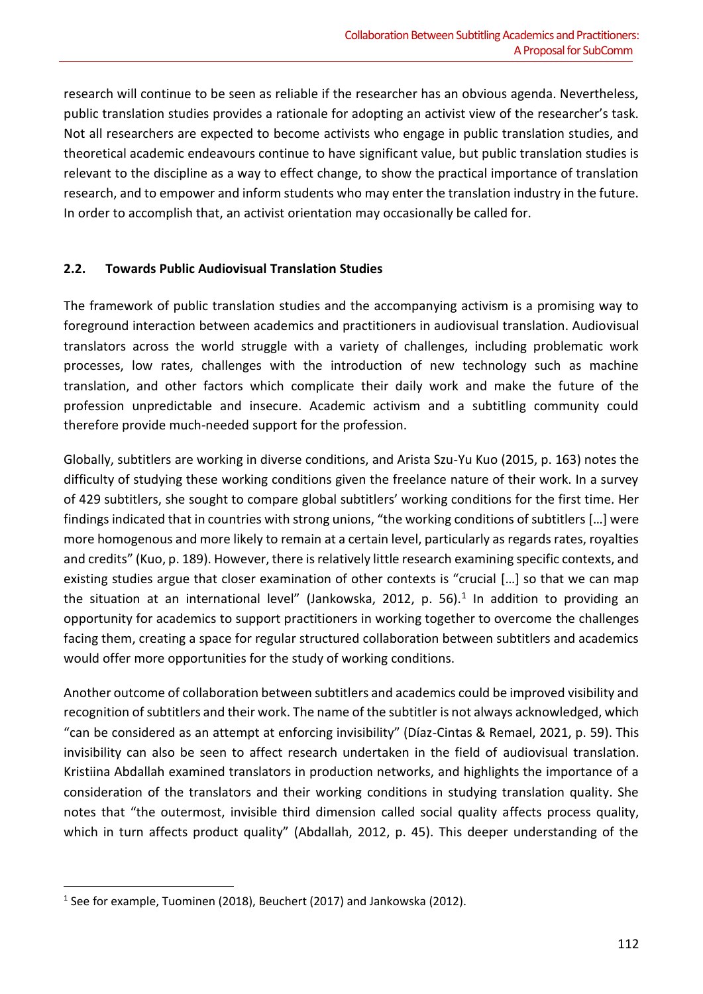research will continue to be seen as reliable if the researcher has an obvious agenda. Nevertheless, public translation studies provides a rationale for adopting an activist view of the researcher's task. Not all researchers are expected to become activists who engage in public translation studies, and theoretical academic endeavours continue to have significant value, but public translation studies is relevant to the discipline as a way to effect change, to show the practical importance of translation research, and to empower and inform students who may enter the translation industry in the future. In order to accomplish that, an activist orientation may occasionally be called for.

#### **2.2. Towards Public Audiovisual Translation Studies**

The framework of public translation studies and the accompanying activism is a promising way to foreground interaction between academics and practitioners in audiovisual translation. Audiovisual translators across the world struggle with a variety of challenges, including problematic work processes, low rates, challenges with the introduction of new technology such as machine translation, and other factors which complicate their daily work and make the future of the profession unpredictable and insecure. Academic activism and a subtitling community could therefore provide much-needed support for the profession.

Globally, subtitlers are working in diverse conditions, and Arista Szu-Yu Kuo (2015, p. 163) notes the difficulty of studying these working conditions given the freelance nature of their work. In a survey of 429 subtitlers, she sought to compare global subtitlers' working conditions for the first time. Her findings indicated that in countries with strong unions, "the working conditions of subtitlers […] were more homogenous and more likely to remain at a certain level, particularly as regards rates, royalties and credits" (Kuo, p. 189). However, there is relatively little research examining specific contexts, and existing studies argue that closer examination of other contexts is "crucial […] so that we can map the situation at an international level" (Jankowska, 2012, p. 56).<sup>1</sup> In addition to providing an opportunity for academics to support practitioners in working together to overcome the challenges facing them, creating a space for regular structured collaboration between subtitlers and academics would offer more opportunities for the study of working conditions.

Another outcome of collaboration between subtitlers and academics could be improved visibility and recognition of subtitlers and their work. The name of the subtitler is not always acknowledged, which "can be considered as an attempt at enforcing invisibility" (Díaz-Cintas & Remael, 2021, p. 59). This invisibility can also be seen to affect research undertaken in the field of audiovisual translation. Kristiina Abdallah examined translators in production networks, and highlights the importance of a consideration of the translators and their working conditions in studying translation quality. She notes that "the outermost, invisible third dimension called social quality affects process quality, which in turn affects product quality" (Abdallah, 2012, p. 45). This deeper understanding of the

<sup>&</sup>lt;sup>1</sup> See for example, Tuominen (2018), Beuchert (2017) and Jankowska (2012).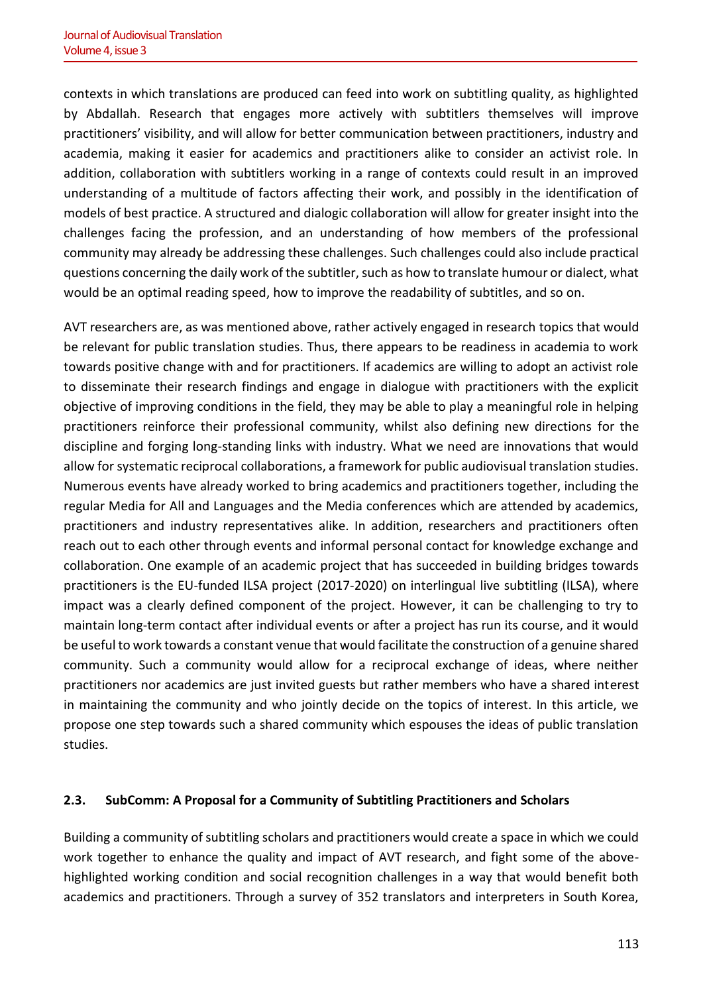contexts in which translations are produced can feed into work on subtitling quality, as highlighted by Abdallah. Research that engages more actively with subtitlers themselves will improve practitioners' visibility, and will allow for better communication between practitioners, industry and academia, making it easier for academics and practitioners alike to consider an activist role. In addition, collaboration with subtitlers working in a range of contexts could result in an improved understanding of a multitude of factors affecting their work, and possibly in the identification of models of best practice. A structured and dialogic collaboration will allow for greater insight into the challenges facing the profession, and an understanding of how members of the professional community may already be addressing these challenges. Such challenges could also include practical questions concerning the daily work of the subtitler, such as how to translate humour or dialect, what would be an optimal reading speed, how to improve the readability of subtitles, and so on.

AVT researchers are, as was mentioned above, rather actively engaged in research topics that would be relevant for public translation studies. Thus, there appears to be readiness in academia to work towards positive change with and for practitioners. If academics are willing to adopt an activist role to disseminate their research findings and engage in dialogue with practitioners with the explicit objective of improving conditions in the field, they may be able to play a meaningful role in helping practitioners reinforce their professional community, whilst also defining new directions for the discipline and forging long-standing links with industry. What we need are innovations that would allow for systematic reciprocal collaborations, a framework for public audiovisual translation studies. Numerous events have already worked to bring academics and practitioners together, including the regular Media for All and Languages and the Media conferences which are attended by academics, practitioners and industry representatives alike. In addition, researchers and practitioners often reach out to each other through events and informal personal contact for knowledge exchange and collaboration. One example of an academic project that has succeeded in building bridges towards practitioners is the EU-funded ILSA project (2017-2020) on interlingual live subtitling (ILSA), where impact was a clearly defined component of the project. However, it can be challenging to try to maintain long-term contact after individual events or after a project has run its course, and it would be useful to work towards a constant venue that would facilitate the construction of a genuine shared community. Such a community would allow for a reciprocal exchange of ideas, where neither practitioners nor academics are just invited guests but rather members who have a shared interest in maintaining the community and who jointly decide on the topics of interest. In this article, we propose one step towards such a shared community which espouses the ideas of public translation studies.

# **2.3. SubComm: A Proposal for a Community of Subtitling Practitioners and Scholars**

Building a community of subtitling scholars and practitioners would create a space in which we could work together to enhance the quality and impact of AVT research, and fight some of the abovehighlighted working condition and social recognition challenges in a way that would benefit both academics and practitioners. Through a survey of 352 translators and interpreters in South Korea,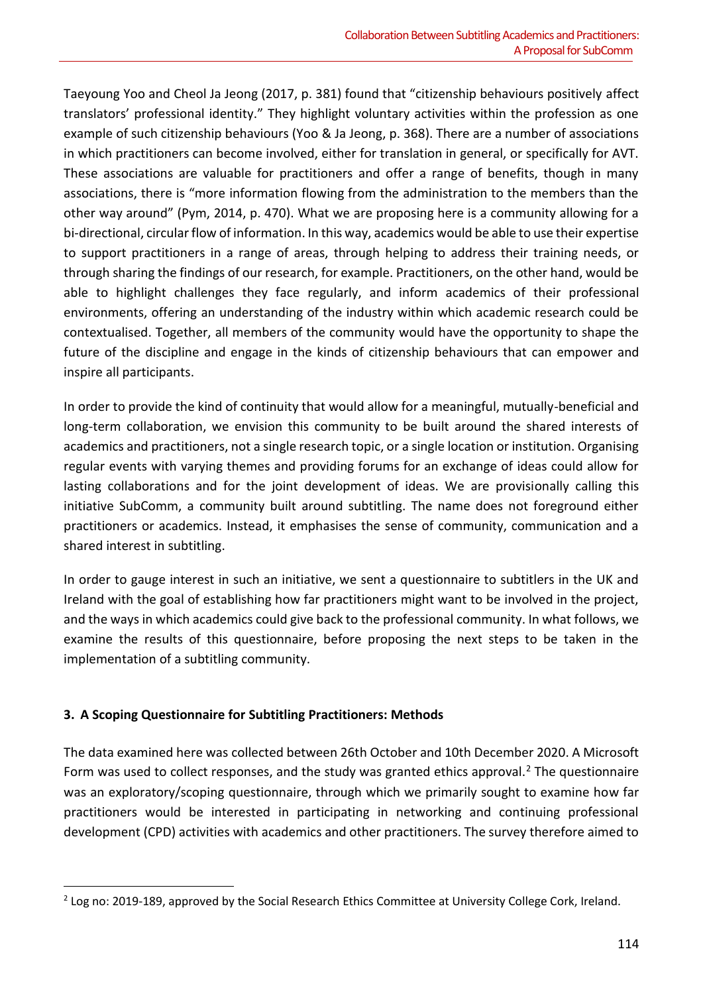Taeyoung Yoo and Cheol Ja Jeong (2017, p. 381) found that "citizenship behaviours positively affect translators' professional identity." They highlight voluntary activities within the profession as one example of such citizenship behaviours (Yoo & Ja Jeong, p. 368). There are a number of associations in which practitioners can become involved, either for translation in general, or specifically for AVT. These associations are valuable for practitioners and offer a range of benefits, though in many associations, there is "more information flowing from the administration to the members than the other way around" (Pym, 2014, p. 470). What we are proposing here is a community allowing for a bi-directional, circular flow of information. In this way, academics would be able to use their expertise to support practitioners in a range of areas, through helping to address their training needs, or through sharing the findings of our research, for example. Practitioners, on the other hand, would be able to highlight challenges they face regularly, and inform academics of their professional environments, offering an understanding of the industry within which academic research could be contextualised. Together, all members of the community would have the opportunity to shape the future of the discipline and engage in the kinds of citizenship behaviours that can empower and inspire all participants.

In order to provide the kind of continuity that would allow for a meaningful, mutually-beneficial and long-term collaboration, we envision this community to be built around the shared interests of academics and practitioners, not a single research topic, or a single location or institution. Organising regular events with varying themes and providing forums for an exchange of ideas could allow for lasting collaborations and for the joint development of ideas. We are provisionally calling this initiative SubComm, a community built around subtitling. The name does not foreground either practitioners or academics. Instead, it emphasises the sense of community, communication and a shared interest in subtitling.

In order to gauge interest in such an initiative, we sent a questionnaire to subtitlers in the UK and Ireland with the goal of establishing how far practitioners might want to be involved in the project, and the ways in which academics could give back to the professional community. In what follows, we examine the results of this questionnaire, before proposing the next steps to be taken in the implementation of a subtitling community.

# **3. A Scoping Questionnaire for Subtitling Practitioners: Methods**

The data examined here was collected between 26th October and 10th December 2020. A Microsoft Form was used to collect responses, and the study was granted ethics approval.<sup>2</sup> The questionnaire was an exploratory/scoping questionnaire, through which we primarily sought to examine how far practitioners would be interested in participating in networking and continuing professional development (CPD) activities with academics and other practitioners. The survey therefore aimed to

 $2$  Log no: 2019-189, approved by the Social Research Ethics Committee at University College Cork, Ireland.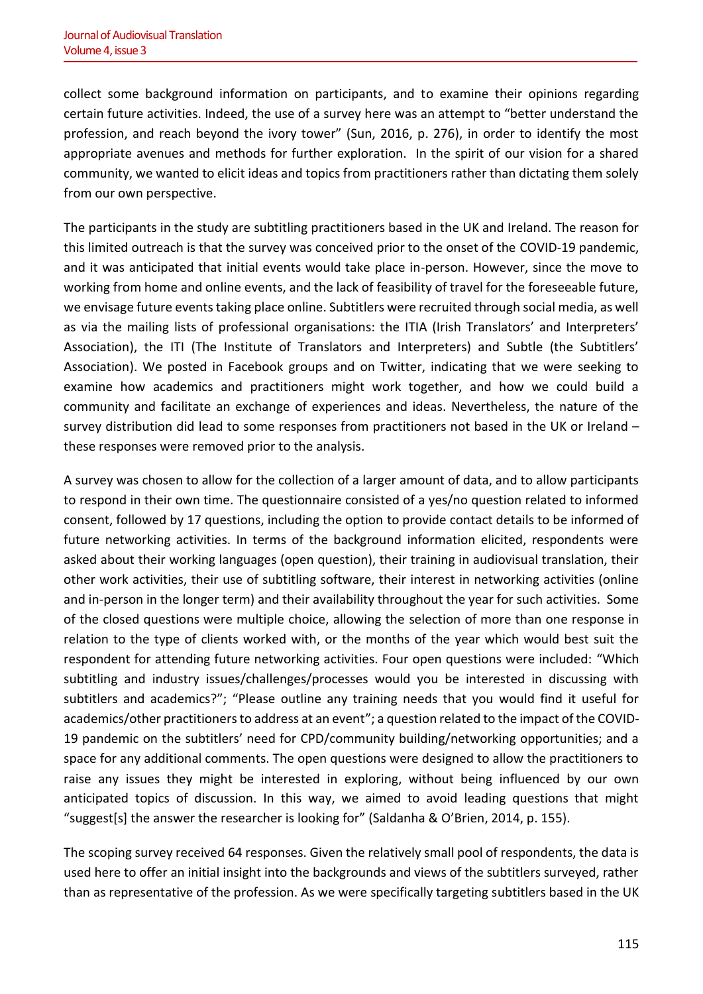collect some background information on participants, and to examine their opinions regarding certain future activities. Indeed, the use of a survey here was an attempt to "better understand the profession, and reach beyond the ivory tower" (Sun, 2016, p. 276), in order to identify the most appropriate avenues and methods for further exploration. In the spirit of our vision for a shared community, we wanted to elicit ideas and topics from practitioners rather than dictating them solely from our own perspective.

The participants in the study are subtitling practitioners based in the UK and Ireland. The reason for this limited outreach is that the survey was conceived prior to the onset of the COVID-19 pandemic, and it was anticipated that initial events would take place in-person. However, since the move to working from home and online events, and the lack of feasibility of travel for the foreseeable future, we envisage future events taking place online. Subtitlers were recruited through social media, as well as via the mailing lists of professional organisations: the ITIA (Irish Translators' and Interpreters' Association), the ITI (The Institute of Translators and Interpreters) and Subtle (the Subtitlers' Association). We posted in Facebook groups and on Twitter, indicating that we were seeking to examine how academics and practitioners might work together, and how we could build a community and facilitate an exchange of experiences and ideas. Nevertheless, the nature of the survey distribution did lead to some responses from practitioners not based in the UK or Ireland – these responses were removed prior to the analysis.

A survey was chosen to allow for the collection of a larger amount of data, and to allow participants to respond in their own time. The questionnaire consisted of a yes/no question related to informed consent, followed by 17 questions, including the option to provide contact details to be informed of future networking activities. In terms of the background information elicited, respondents were asked about their working languages (open question), their training in audiovisual translation, their other work activities, their use of subtitling software, their interest in networking activities (online and in-person in the longer term) and their availability throughout the year for such activities. Some of the closed questions were multiple choice, allowing the selection of more than one response in relation to the type of clients worked with, or the months of the year which would best suit the respondent for attending future networking activities. Four open questions were included: "Which subtitling and industry issues/challenges/processes would you be interested in discussing with subtitlers and academics?"; "Please outline any training needs that you would find it useful for academics/other practitioners to address at an event"; a question related to the impact of the COVID-19 pandemic on the subtitlers' need for CPD/community building/networking opportunities; and a space for any additional comments. The open questions were designed to allow the practitioners to raise any issues they might be interested in exploring, without being influenced by our own anticipated topics of discussion. In this way, we aimed to avoid leading questions that might "suggest[s] the answer the researcher is looking for" (Saldanha & O'Brien, 2014, p. 155).

The scoping survey received 64 responses. Given the relatively small pool of respondents, the data is used here to offer an initial insight into the backgrounds and views of the subtitlers surveyed, rather than as representative of the profession. As we were specifically targeting subtitlers based in the UK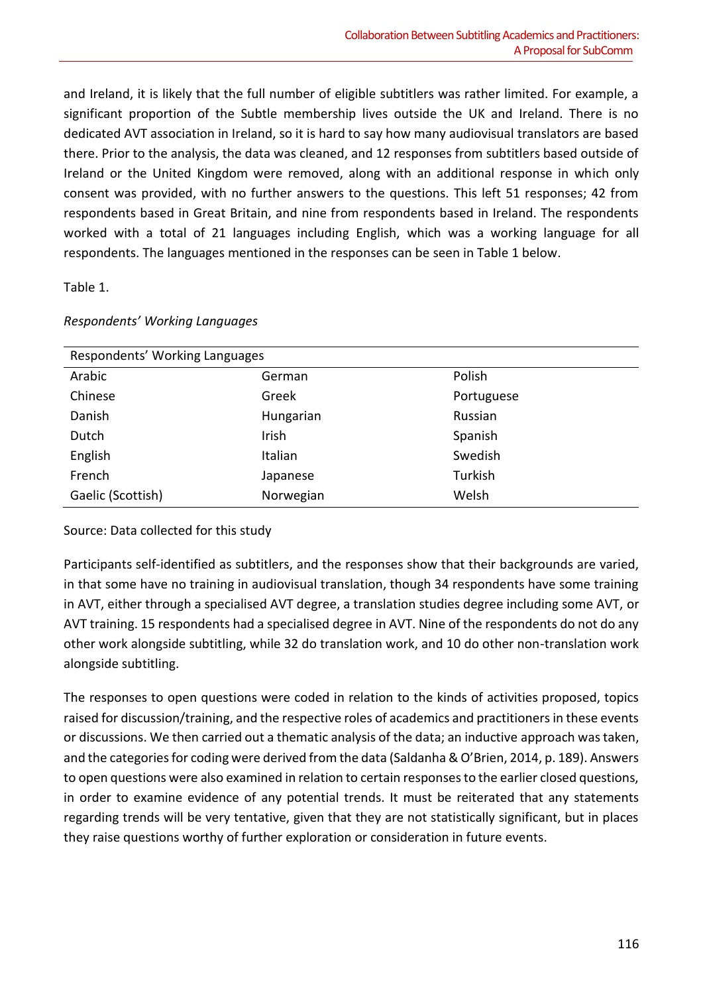and Ireland, it is likely that the full number of eligible subtitlers was rather limited. For example, a significant proportion of the Subtle membership lives outside the UK and Ireland. There is no dedicated AVT association in Ireland, so it is hard to say how many audiovisual translators are based there. Prior to the analysis, the data was cleaned, and 12 responses from subtitlers based outside of Ireland or the United Kingdom were removed, along with an additional response in which only consent was provided, with no further answers to the questions. This left 51 responses; 42 from respondents based in Great Britain, and nine from respondents based in Ireland. The respondents worked with a total of 21 languages including English, which was a working language for all respondents. The languages mentioned in the responses can be seen in Table 1 below.

# Table 1.

| Respondents' Working Languages |           |            |  |  |
|--------------------------------|-----------|------------|--|--|
| Arabic                         | German    | Polish     |  |  |
| Chinese                        | Greek     | Portuguese |  |  |
| Danish                         | Hungarian | Russian    |  |  |
| Dutch                          | Irish     | Spanish    |  |  |
| English                        | Italian   | Swedish    |  |  |
| French                         | Japanese  | Turkish    |  |  |
| Gaelic (Scottish)              | Norwegian | Welsh      |  |  |

#### *Respondents' Working Languages*

Source: Data collected for this study

Participants self-identified as subtitlers, and the responses show that their backgrounds are varied, in that some have no training in audiovisual translation, though 34 respondents have some training in AVT, either through a specialised AVT degree, a translation studies degree including some AVT, or AVT training. 15 respondents had a specialised degree in AVT. Nine of the respondents do not do any other work alongside subtitling, while 32 do translation work, and 10 do other non-translation work alongside subtitling.

The responses to open questions were coded in relation to the kinds of activities proposed, topics raised for discussion/training, and the respective roles of academics and practitioners in these events or discussions. We then carried out a thematic analysis of the data; an inductive approach was taken, and the categories for coding were derived from the data (Saldanha & O'Brien, 2014, p. 189). Answers to open questions were also examined in relation to certain responses to the earlier closed questions, in order to examine evidence of any potential trends. It must be reiterated that any statements regarding trends will be very tentative, given that they are not statistically significant, but in places they raise questions worthy of further exploration or consideration in future events.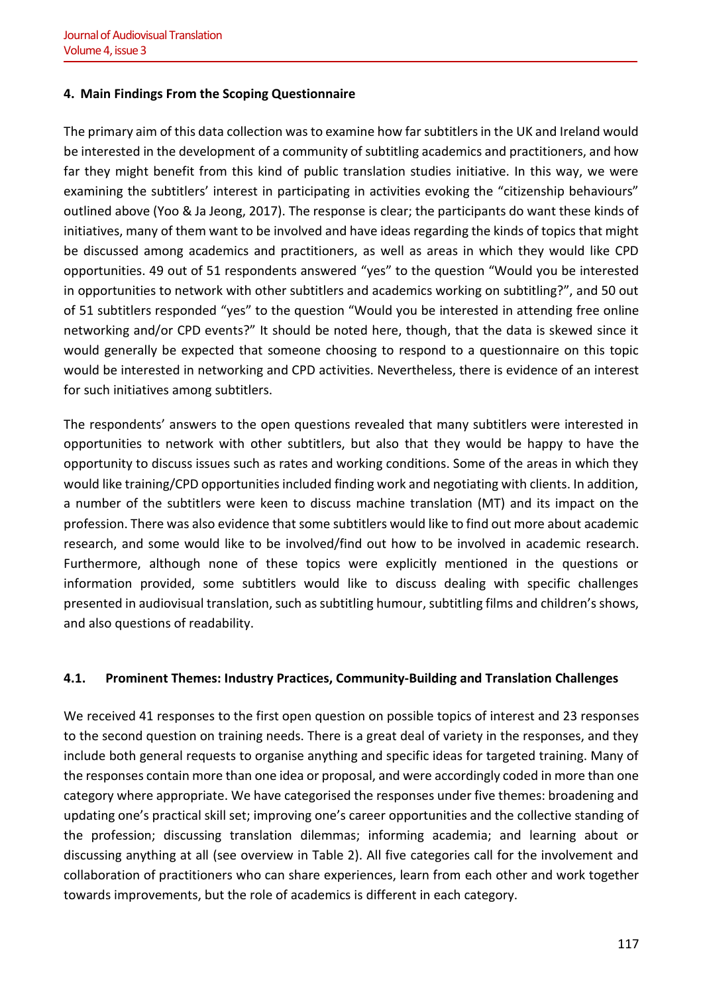# **4. Main Findings From the Scoping Questionnaire**

The primary aim of this data collection was to examine how far subtitlers in the UK and Ireland would be interested in the development of a community of subtitling academics and practitioners, and how far they might benefit from this kind of public translation studies initiative. In this way, we were examining the subtitlers' interest in participating in activities evoking the "citizenship behaviours" outlined above (Yoo & Ja Jeong, 2017). The response is clear; the participants do want these kinds of initiatives, many of them want to be involved and have ideas regarding the kinds of topics that might be discussed among academics and practitioners, as well as areas in which they would like CPD opportunities. 49 out of 51 respondents answered "yes" to the question "Would you be interested in opportunities to network with other subtitlers and academics working on subtitling?", and 50 out of 51 subtitlers responded "yes" to the question "Would you be interested in attending free online networking and/or CPD events?" It should be noted here, though, that the data is skewed since it would generally be expected that someone choosing to respond to a questionnaire on this topic would be interested in networking and CPD activities. Nevertheless, there is evidence of an interest for such initiatives among subtitlers.

The respondents' answers to the open questions revealed that many subtitlers were interested in opportunities to network with other subtitlers, but also that they would be happy to have the opportunity to discuss issues such as rates and working conditions. Some of the areas in which they would like training/CPD opportunities included finding work and negotiating with clients. In addition, a number of the subtitlers were keen to discuss machine translation (MT) and its impact on the profession. There was also evidence that some subtitlers would like to find out more about academic research, and some would like to be involved/find out how to be involved in academic research. Furthermore, although none of these topics were explicitly mentioned in the questions or information provided, some subtitlers would like to discuss dealing with specific challenges presented in audiovisual translation, such as subtitling humour, subtitling films and children's shows, and also questions of readability.

# **4.1. Prominent Themes: Industry Practices, Community-Building and Translation Challenges**

We received 41 responses to the first open question on possible topics of interest and 23 responses to the second question on training needs. There is a great deal of variety in the responses, and they include both general requests to organise anything and specific ideas for targeted training. Many of the responses contain more than one idea or proposal, and were accordingly coded in more than one category where appropriate. We have categorised the responses under five themes: broadening and updating one's practical skill set; improving one's career opportunities and the collective standing of the profession; discussing translation dilemmas; informing academia; and learning about or discussing anything at all (see overview in Table 2). All five categories call for the involvement and collaboration of practitioners who can share experiences, learn from each other and work together towards improvements, but the role of academics is different in each category.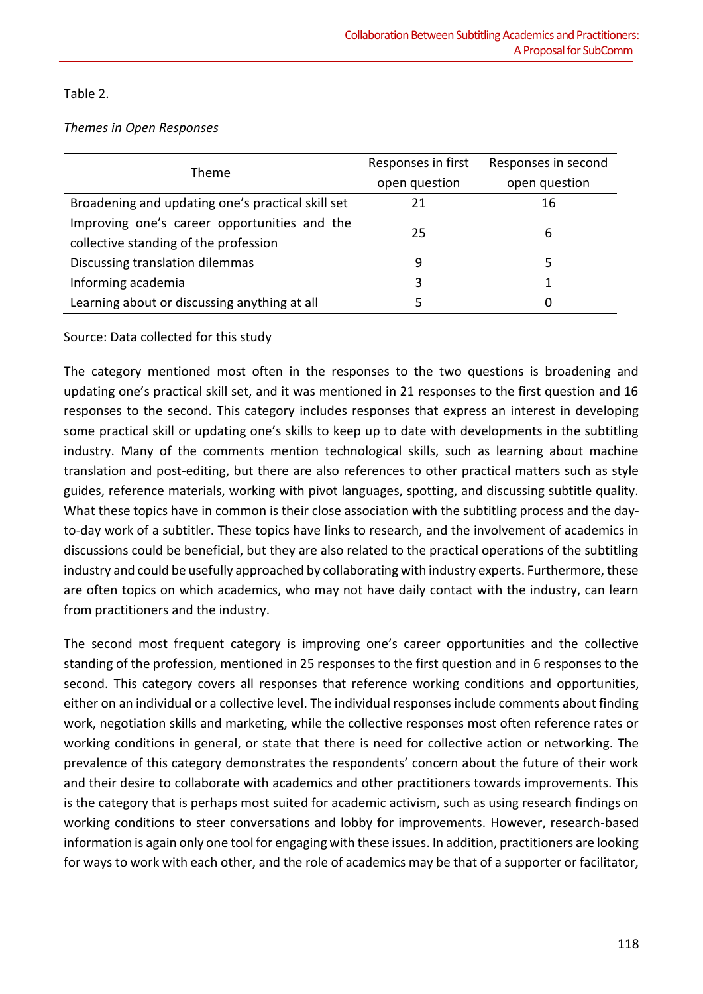Table 2.

*Themes in Open Responses*

| Theme                                             | Responses in first | Responses in second |
|---------------------------------------------------|--------------------|---------------------|
|                                                   | open question      | open question       |
| Broadening and updating one's practical skill set | 21                 | 16                  |
| Improving one's career opportunities and the      | 25                 | 6                   |
| collective standing of the profession             |                    |                     |
| Discussing translation dilemmas                   | 9                  | 5                   |
| Informing academia                                | 3                  |                     |
| Learning about or discussing anything at all      | 5                  |                     |

Source: Data collected for this study

The category mentioned most often in the responses to the two questions is broadening and updating one's practical skill set, and it was mentioned in 21 responses to the first question and 16 responses to the second. This category includes responses that express an interest in developing some practical skill or updating one's skills to keep up to date with developments in the subtitling industry. Many of the comments mention technological skills, such as learning about machine translation and post-editing, but there are also references to other practical matters such as style guides, reference materials, working with pivot languages, spotting, and discussing subtitle quality. What these topics have in common is their close association with the subtitling process and the dayto-day work of a subtitler. These topics have links to research, and the involvement of academics in discussions could be beneficial, but they are also related to the practical operations of the subtitling industry and could be usefully approached by collaborating with industry experts. Furthermore, these are often topics on which academics, who may not have daily contact with the industry, can learn from practitioners and the industry.

The second most frequent category is improving one's career opportunities and the collective standing of the profession, mentioned in 25 responses to the first question and in 6 responses to the second. This category covers all responses that reference working conditions and opportunities, either on an individual or a collective level. The individual responses include comments about finding work, negotiation skills and marketing, while the collective responses most often reference rates or working conditions in general, or state that there is need for collective action or networking. The prevalence of this category demonstrates the respondents' concern about the future of their work and their desire to collaborate with academics and other practitioners towards improvements. This is the category that is perhaps most suited for academic activism, such as using research findings on working conditions to steer conversations and lobby for improvements. However, research-based information is again only one tool for engaging with these issues. In addition, practitioners are looking for ways to work with each other, and the role of academics may be that of a supporter or facilitator,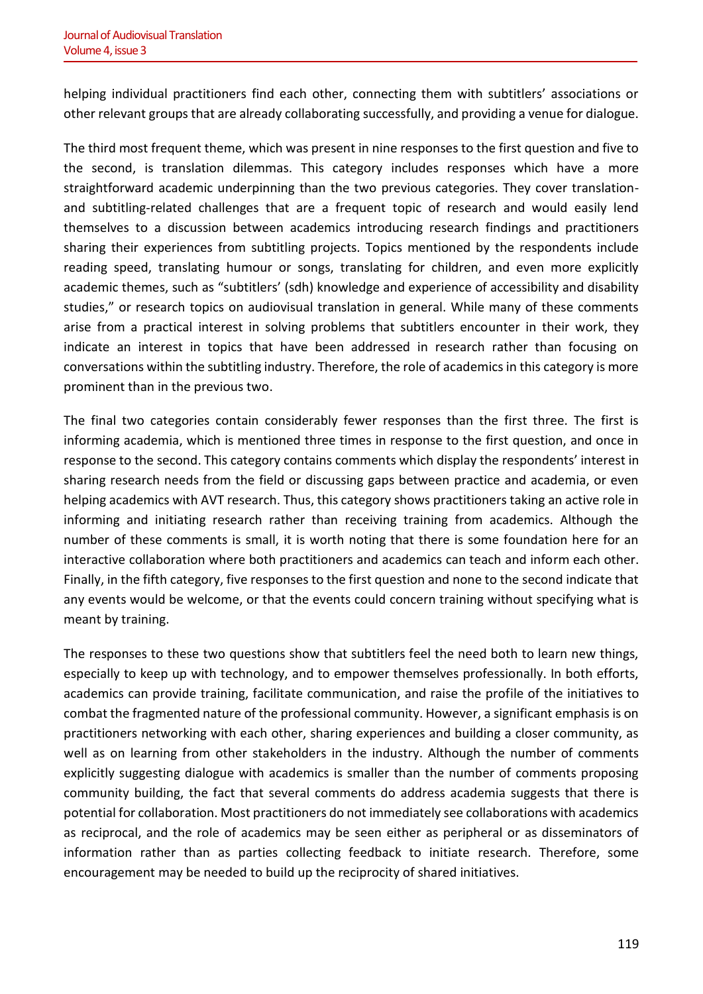helping individual practitioners find each other, connecting them with subtitlers' associations or other relevant groups that are already collaborating successfully, and providing a venue for dialogue.

The third most frequent theme, which was present in nine responses to the first question and five to the second, is translation dilemmas. This category includes responses which have a more straightforward academic underpinning than the two previous categories. They cover translationand subtitling-related challenges that are a frequent topic of research and would easily lend themselves to a discussion between academics introducing research findings and practitioners sharing their experiences from subtitling projects. Topics mentioned by the respondents include reading speed, translating humour or songs, translating for children, and even more explicitly academic themes, such as "subtitlers' (sdh) knowledge and experience of accessibility and disability studies," or research topics on audiovisual translation in general. While many of these comments arise from a practical interest in solving problems that subtitlers encounter in their work, they indicate an interest in topics that have been addressed in research rather than focusing on conversations within the subtitling industry. Therefore, the role of academics in this category is more prominent than in the previous two.

The final two categories contain considerably fewer responses than the first three. The first is informing academia, which is mentioned three times in response to the first question, and once in response to the second. This category contains comments which display the respondents' interest in sharing research needs from the field or discussing gaps between practice and academia, or even helping academics with AVT research. Thus, this category shows practitioners taking an active role in informing and initiating research rather than receiving training from academics. Although the number of these comments is small, it is worth noting that there is some foundation here for an interactive collaboration where both practitioners and academics can teach and inform each other. Finally, in the fifth category, five responses to the first question and none to the second indicate that any events would be welcome, or that the events could concern training without specifying what is meant by training.

The responses to these two questions show that subtitlers feel the need both to learn new things, especially to keep up with technology, and to empower themselves professionally. In both efforts, academics can provide training, facilitate communication, and raise the profile of the initiatives to combat the fragmented nature of the professional community. However, a significant emphasis is on practitioners networking with each other, sharing experiences and building a closer community, as well as on learning from other stakeholders in the industry. Although the number of comments explicitly suggesting dialogue with academics is smaller than the number of comments proposing community building, the fact that several comments do address academia suggests that there is potential for collaboration. Most practitioners do not immediately see collaborations with academics as reciprocal, and the role of academics may be seen either as peripheral or as disseminators of information rather than as parties collecting feedback to initiate research. Therefore, some encouragement may be needed to build up the reciprocity of shared initiatives.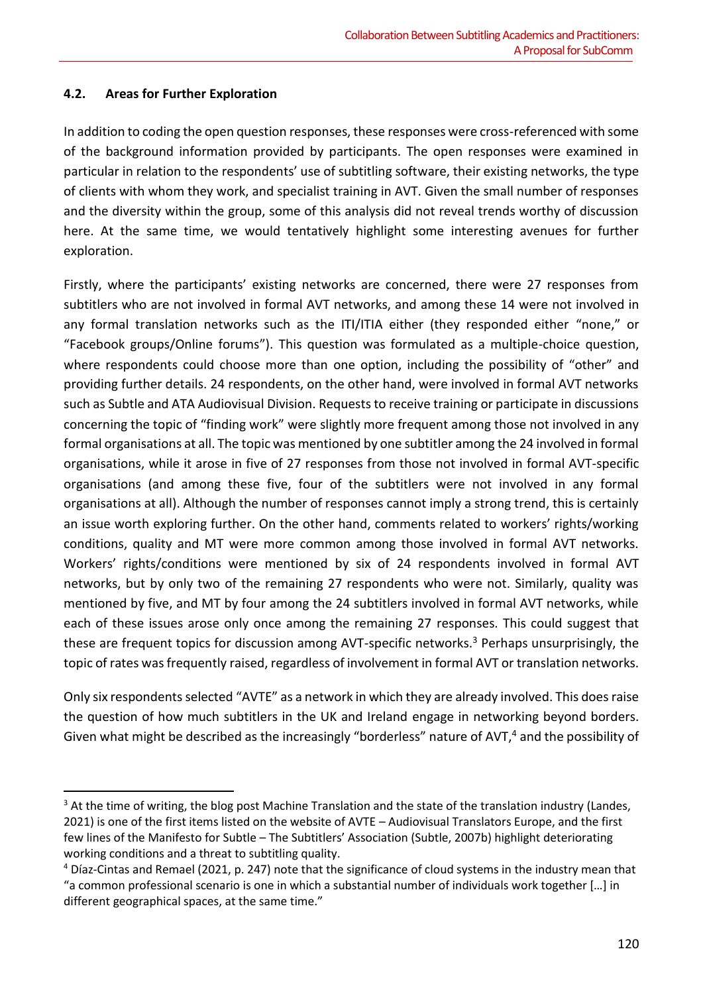# **4.2. Areas for Further Exploration**

In addition to coding the open question responses, these responses were cross-referenced with some of the background information provided by participants. The open responses were examined in particular in relation to the respondents' use of subtitling software, their existing networks, the type of clients with whom they work, and specialist training in AVT. Given the small number of responses and the diversity within the group, some of this analysis did not reveal trends worthy of discussion here. At the same time, we would tentatively highlight some interesting avenues for further exploration.

Firstly, where the participants' existing networks are concerned, there were 27 responses from subtitlers who are not involved in formal AVT networks, and among these 14 were not involved in any formal translation networks such as the ITI/ITIA either (they responded either "none," or "Facebook groups/Online forums"). This question was formulated as a multiple-choice question, where respondents could choose more than one option, including the possibility of "other" and providing further details. 24 respondents, on the other hand, were involved in formal AVT networks such as Subtle and ATA Audiovisual Division. Requests to receive training or participate in discussions concerning the topic of "finding work" were slightly more frequent among those not involved in any formal organisations at all. The topic was mentioned by one subtitler among the 24 involved in formal organisations, while it arose in five of 27 responses from those not involved in formal AVT-specific organisations (and among these five, four of the subtitlers were not involved in any formal organisations at all). Although the number of responses cannot imply a strong trend, this is certainly an issue worth exploring further. On the other hand, comments related to workers' rights/working conditions, quality and MT were more common among those involved in formal AVT networks. Workers' rights/conditions were mentioned by six of 24 respondents involved in formal AVT networks, but by only two of the remaining 27 respondents who were not. Similarly, quality was mentioned by five, and MT by four among the 24 subtitlers involved in formal AVT networks, while each of these issues arose only once among the remaining 27 responses. This could suggest that these are frequent topics for discussion among AVT-specific networks.<sup>3</sup> Perhaps unsurprisingly, the topic of rates was frequently raised, regardless of involvement in formal AVT or translation networks.

Only six respondents selected "AVTE" as a network in which they are already involved. This does raise the question of how much subtitlers in the UK and Ireland engage in networking beyond borders. Given what might be described as the increasingly "borderless" nature of AVT,<sup>4</sup> and the possibility of

<sup>&</sup>lt;sup>3</sup> At the time of writing, the blog post Machine Translation and the state of the translation industry (Landes, 2021) is one of the first items listed on the website of AVTE – Audiovisual Translators Europe, and the first few lines of the Manifesto for Subtle – The Subtitlers' Association (Subtle, 2007b) highlight deteriorating working conditions and a threat to subtitling quality.

<sup>4</sup> Díaz-Cintas and Remael (2021, p. 247) note that the significance of cloud systems in the industry mean that "a common professional scenario is one in which a substantial number of individuals work together […] in different geographical spaces, at the same time."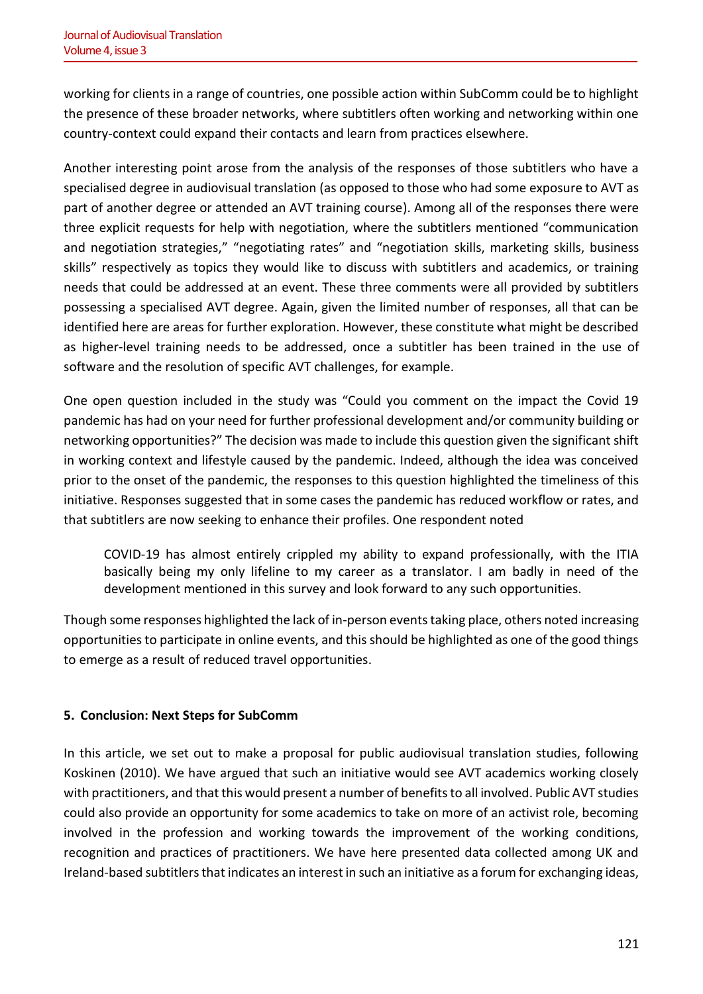working for clients in a range of countries, one possible action within SubComm could be to highlight the presence of these broader networks, where subtitlers often working and networking within one country-context could expand their contacts and learn from practices elsewhere.

Another interesting point arose from the analysis of the responses of those subtitlers who have a specialised degree in audiovisual translation (as opposed to those who had some exposure to AVT as part of another degree or attended an AVT training course). Among all of the responses there were three explicit requests for help with negotiation, where the subtitlers mentioned "communication and negotiation strategies," "negotiating rates" and "negotiation skills, marketing skills, business skills" respectively as topics they would like to discuss with subtitlers and academics, or training needs that could be addressed at an event. These three comments were all provided by subtitlers possessing a specialised AVT degree. Again, given the limited number of responses, all that can be identified here are areas for further exploration. However, these constitute what might be described as higher-level training needs to be addressed, once a subtitler has been trained in the use of software and the resolution of specific AVT challenges, for example.

One open question included in the study was "Could you comment on the impact the Covid 19 pandemic has had on your need for further professional development and/or community building or networking opportunities?" The decision was made to include this question given the significant shift in working context and lifestyle caused by the pandemic. Indeed, although the idea was conceived prior to the onset of the pandemic, the responses to this question highlighted the timeliness of this initiative. Responses suggested that in some cases the pandemic has reduced workflow or rates, and that subtitlers are now seeking to enhance their profiles. One respondent noted

COVID-19 has almost entirely crippled my ability to expand professionally, with the ITIA basically being my only lifeline to my career as a translator. I am badly in need of the development mentioned in this survey and look forward to any such opportunities.

Though some responses highlighted the lack of in-person events taking place, others noted increasing opportunities to participate in online events, and this should be highlighted as one of the good things to emerge as a result of reduced travel opportunities.

# **5. Conclusion: Next Steps for SubComm**

In this article, we set out to make a proposal for public audiovisual translation studies, following Koskinen (2010). We have argued that such an initiative would see AVT academics working closely with practitioners, and that this would present a number of benefits to all involved. Public AVT studies could also provide an opportunity for some academics to take on more of an activist role, becoming involved in the profession and working towards the improvement of the working conditions, recognition and practices of practitioners. We have here presented data collected among UK and Ireland-based subtitlers that indicates an interest in such an initiative as a forum for exchanging ideas,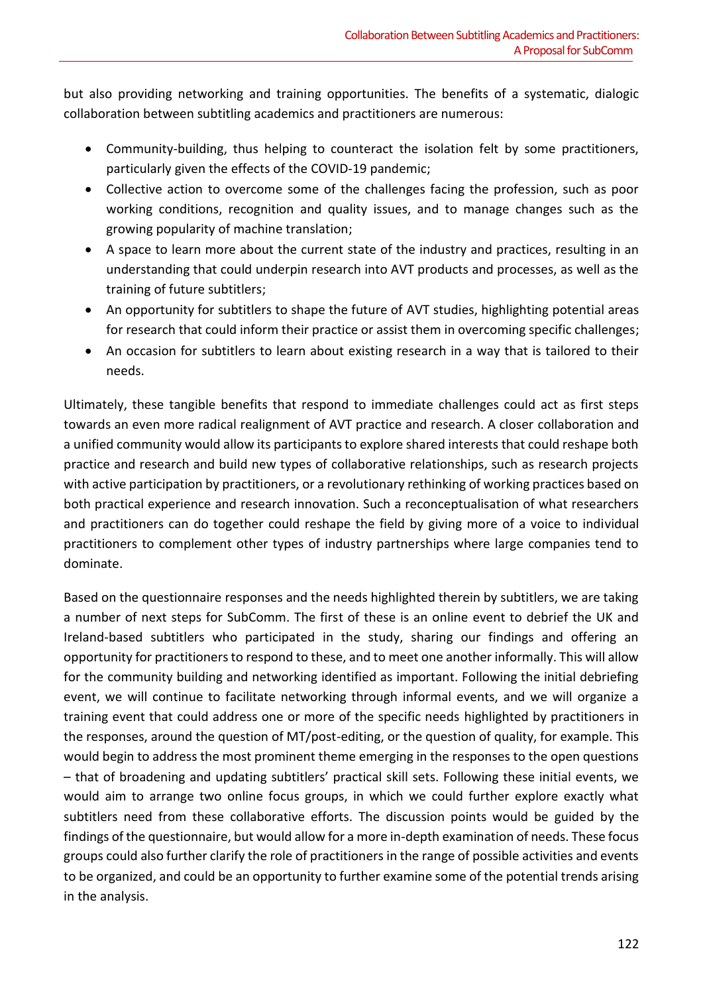but also providing networking and training opportunities. The benefits of a systematic, dialogic collaboration between subtitling academics and practitioners are numerous:

- Community-building, thus helping to counteract the isolation felt by some practitioners, particularly given the effects of the COVID-19 pandemic;
- Collective action to overcome some of the challenges facing the profession, such as poor working conditions, recognition and quality issues, and to manage changes such as the growing popularity of machine translation;
- A space to learn more about the current state of the industry and practices, resulting in an understanding that could underpin research into AVT products and processes, as well as the training of future subtitlers;
- An opportunity for subtitlers to shape the future of AVT studies, highlighting potential areas for research that could inform their practice or assist them in overcoming specific challenges;
- An occasion for subtitlers to learn about existing research in a way that is tailored to their needs.

Ultimately, these tangible benefits that respond to immediate challenges could act as first steps towards an even more radical realignment of AVT practice and research. A closer collaboration and a unified community would allow its participants to explore shared interests that could reshape both practice and research and build new types of collaborative relationships, such as research projects with active participation by practitioners, or a revolutionary rethinking of working practices based on both practical experience and research innovation. Such a reconceptualisation of what researchers and practitioners can do together could reshape the field by giving more of a voice to individual practitioners to complement other types of industry partnerships where large companies tend to dominate.

Based on the questionnaire responses and the needs highlighted therein by subtitlers, we are taking a number of next steps for SubComm. The first of these is an online event to debrief the UK and Ireland-based subtitlers who participated in the study, sharing our findings and offering an opportunity for practitioners to respond to these, and to meet one another informally. This will allow for the community building and networking identified as important. Following the initial debriefing event, we will continue to facilitate networking through informal events, and we will organize a training event that could address one or more of the specific needs highlighted by practitioners in the responses, around the question of MT/post-editing, or the question of quality, for example. This would begin to address the most prominent theme emerging in the responses to the open questions – that of broadening and updating subtitlers' practical skill sets. Following these initial events, we would aim to arrange two online focus groups, in which we could further explore exactly what subtitlers need from these collaborative efforts. The discussion points would be guided by the findings of the questionnaire, but would allow for a more in-depth examination of needs. These focus groups could also further clarify the role of practitioners in the range of possible activities and events to be organized, and could be an opportunity to further examine some of the potential trends arising in the analysis.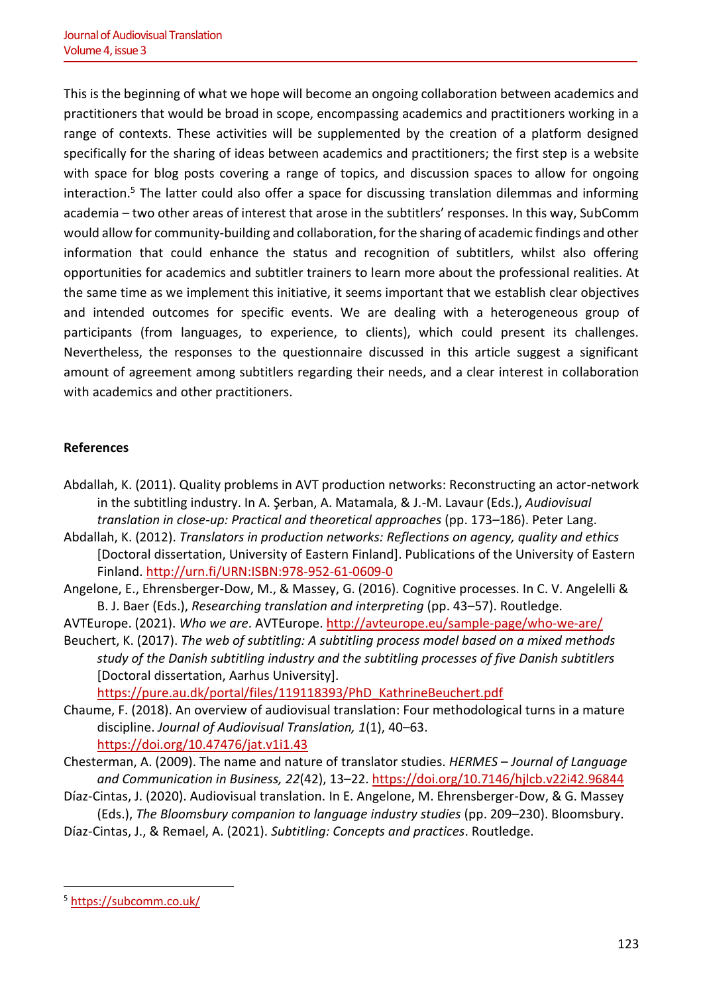This is the beginning of what we hope will become an ongoing collaboration between academics and practitioners that would be broad in scope, encompassing academics and practitioners working in a range of contexts. These activities will be supplemented by the creation of a platform designed specifically for the sharing of ideas between academics and practitioners; the first step is a website with space for blog posts covering a range of topics, and discussion spaces to allow for ongoing interaction.<sup>5</sup> The latter could also offer a space for discussing translation dilemmas and informing academia – two other areas of interest that arose in the subtitlers' responses. In this way, SubComm would allow for community-building and collaboration, for the sharing of academic findings and other information that could enhance the status and recognition of subtitlers, whilst also offering opportunities for academics and subtitler trainers to learn more about the professional realities. At the same time as we implement this initiative, it seems important that we establish clear objectives and intended outcomes for specific events. We are dealing with a heterogeneous group of participants (from languages, to experience, to clients), which could present its challenges. Nevertheless, the responses to the questionnaire discussed in this article suggest a significant amount of agreement among subtitlers regarding their needs, and a clear interest in collaboration with academics and other practitioners.

#### **References**

- Abdallah, K. (2011). Quality problems in AVT production networks: Reconstructing an actor-network in the subtitling industry. In A. Şerban, A. Matamala, & J.-M. Lavaur (Eds.), *Audiovisual translation in close-up: Practical and theoretical approaches* (pp. 173–186). Peter Lang.
- Abdallah, K. (2012). *Translators in production networks: Reflections on agency, quality and ethics* [Doctoral dissertation, University of Eastern Finland]. Publications of the University of Eastern Finland.<http://urn.fi/URN:ISBN:978-952-61-0609-0>
- Angelone, E., Ehrensberger-Dow, M., & Massey, G. (2016). Cognitive processes. In C. V. Angelelli & B. J. Baer (Eds.), *Researching translation and interpreting* (pp. 43–57). Routledge.
- AVTEurope. (2021). *Who we are*. AVTEurope. <http://avteurope.eu/sample-page/who-we-are/>
- Beuchert, K. (2017). *The web of subtitling: A subtitling process model based on a mixed methods study of the Danish subtitling industry and the subtitling processes of five Danish subtitlers* [Doctoral dissertation, Aarhus University].

[https://pure.au.dk/portal/files/119118393/PhD\\_KathrineBeuchert.pdf](https://pure.au.dk/portal/files/119118393/PhD_KathrineBeuchert.pdf) 

- Chaume, F. (2018). An overview of audiovisual translation: Four methodological turns in a mature discipline. *Journal of Audiovisual Translation, 1*(1), 40–63. <https://doi.org/10.47476/jat.v1i1.43>
- Chesterman, A. (2009). The name and nature of translator studies. *HERMES Journal of Language and Communication in Business, 22*(42), 13–22.<https://doi.org/10.7146/hjlcb.v22i42.96844>
- Díaz-Cintas, J. (2020). Audiovisual translation. In E. Angelone, M. Ehrensberger-Dow, & G. Massey (Eds.), *The Bloomsbury companion to language industry studies* (pp. 209–230). Bloomsbury.
- Díaz-Cintas, J., & Remael, A. (2021). *Subtitling: Concepts and practices*. Routledge.

<sup>5</sup> <https://subcomm.co.uk/>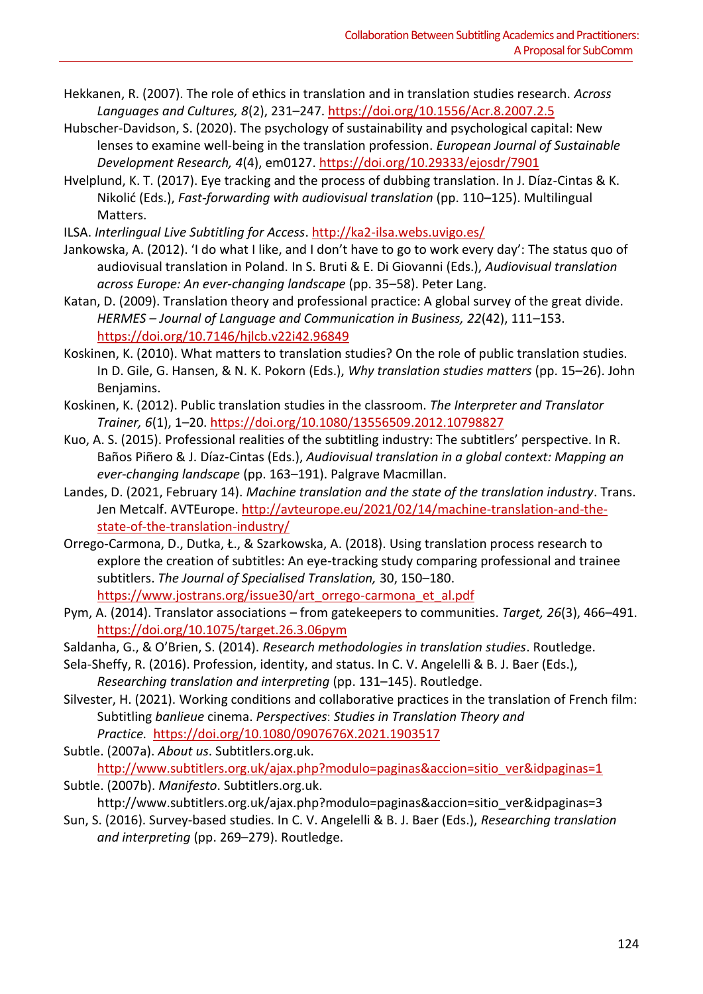- Hekkanen, R. (2007). The role of ethics in translation and in translation studies research. *Across Languages and Cultures, 8*(2), 231–247[. https://doi.org/10.1556/Acr.8.2007.2.5](https://doi.org/10.1556/Acr.8.2007.2.5)
- Hubscher-Davidson, S. (2020). The psychology of sustainability and psychological capital: New lenses to examine well-being in the translation profession. *European Journal of Sustainable Development Research, 4*(4), em0127.<https://doi.org/10.29333/ejosdr/7901>
- Hvelplund, K. T. (2017). Eye tracking and the process of dubbing translation. In J. Díaz-Cintas & K. Nikolić (Eds.), *Fast-forwarding with audiovisual translation* (pp. 110–125). Multilingual Matters.
- ILSA. *Interlingual Live Subtitling for Access*. <http://ka2-ilsa.webs.uvigo.es/>
- Jankowska, A. (2012). 'I do what I like, and I don't have to go to work every day': The status quo of audiovisual translation in Poland. In S. Bruti & E. Di Giovanni (Eds.), *Audiovisual translation across Europe: An ever-changing landscape* (pp. 35–58). Peter Lang.
- Katan, D. (2009). Translation theory and professional practice: A global survey of the great divide. *HERMES – Journal of Language and Communication in Business, 22*(42), 111–153. <https://doi.org/10.7146/hjlcb.v22i42.96849>
- Koskinen, K. (2010). What matters to translation studies? On the role of public translation studies. In D. Gile, G. Hansen, & N. K. Pokorn (Eds.), *Why translation studies matters* (pp. 15–26). John Benjamins.
- Koskinen, K. (2012). Public translation studies in the classroom. *The Interpreter and Translator Trainer, 6*(1), 1–20.<https://doi.org/10.1080/13556509.2012.10798827>
- Kuo, A. S. (2015). Professional realities of the subtitling industry: The subtitlers' perspective. In R. Baños Piñero & J. Díaz-Cintas (Eds.), *Audiovisual translation in a global context: Mapping an ever-changing landscape* (pp. 163–191). Palgrave Macmillan.
- Landes, D. (2021, February 14). *Machine translation and the state of the translation industry*. Trans. Jen Metcalf. AVTEurope[. http://avteurope.eu/2021/02/14/machine-translation-and-the](http://avteurope.eu/2021/02/14/machine-translation-and-the-state-of-the-translation-industry/)[state-of-the-translation-industry/](http://avteurope.eu/2021/02/14/machine-translation-and-the-state-of-the-translation-industry/)
- Orrego-Carmona, D., Dutka, Ł., & Szarkowska, A. (2018). Using translation process research to explore the creation of subtitles: An eye-tracking study comparing professional and trainee subtitlers. *The Journal of Specialised Translation,* 30, 150–180. [https://www.jostrans.org/issue30/art\\_orrego-carmona\\_et\\_al.pdf](https://www.jostrans.org/issue30/art_orrego-carmona_et_al.pdf)
- Pym, A. (2014). Translator associations from gatekeepers to communities. *Target, 26*(3), 466–491. <https://doi.org/10.1075/target.26.3.06pym>
- Saldanha, G., & O'Brien, S. (2014). *Research methodologies in translation studies*. Routledge.
- Sela-Sheffy, R. (2016). Profession, identity, and status. In C. V. Angelelli & B. J. Baer (Eds.), *Researching translation and interpreting* (pp. 131–145). Routledge.
- Silvester, H. (2021). Working conditions and collaborative practices in the translation of French film: Subtitling *banlieue* cinema. *Perspectives*: *Studies in Translation Theory and Practice.* <https://doi.org/10.1080/0907676X.2021.1903517>
- Subtle. (2007a). *About us*. Subtitlers.org.uk.

[http://www.subtitlers.org.uk/ajax.php?modulo=paginas&accion=sitio\\_ver&idpaginas=1](http://www.subtitlers.org.uk/ajax.php?modulo=paginas&accion=sitio_ver&idpaginas=1) Subtle. (2007b). *Manifesto*. Subtitlers.org.uk.

- http://www.subtitlers.org.uk/ajax.php?modulo=paginas&accion=sitio\_ver&idpaginas=3
- Sun, S. (2016). Survey-based studies. In C. V. Angelelli & B. J. Baer (Eds.), *Researching translation and interpreting* (pp. 269–279). Routledge.